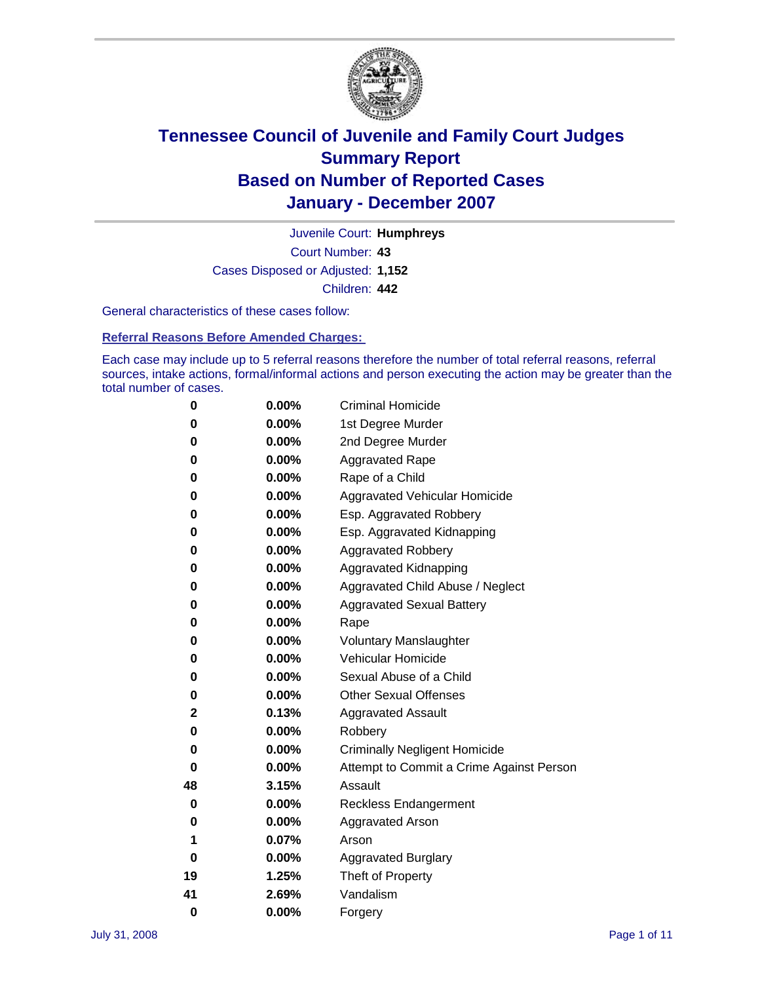

Court Number: **43** Juvenile Court: **Humphreys** Cases Disposed or Adjusted: **1,152** Children: **442**

General characteristics of these cases follow:

**Referral Reasons Before Amended Charges:** 

Each case may include up to 5 referral reasons therefore the number of total referral reasons, referral sources, intake actions, formal/informal actions and person executing the action may be greater than the total number of cases.

| 0  | 0.00%    | <b>Criminal Homicide</b>                 |
|----|----------|------------------------------------------|
| 0  | 0.00%    | 1st Degree Murder                        |
| 0  | $0.00\%$ | 2nd Degree Murder                        |
| 0  | 0.00%    | <b>Aggravated Rape</b>                   |
| 0  | 0.00%    | Rape of a Child                          |
| 0  | 0.00%    | Aggravated Vehicular Homicide            |
| 0  | 0.00%    | Esp. Aggravated Robbery                  |
| 0  | 0.00%    | Esp. Aggravated Kidnapping               |
| 0  | 0.00%    | <b>Aggravated Robbery</b>                |
| 0  | 0.00%    | Aggravated Kidnapping                    |
| 0  | 0.00%    | Aggravated Child Abuse / Neglect         |
| 0  | $0.00\%$ | <b>Aggravated Sexual Battery</b>         |
| 0  | 0.00%    | Rape                                     |
| 0  | 0.00%    | <b>Voluntary Manslaughter</b>            |
| 0  | 0.00%    | Vehicular Homicide                       |
| 0  | 0.00%    | Sexual Abuse of a Child                  |
| 0  | 0.00%    | <b>Other Sexual Offenses</b>             |
| 2  | 0.13%    | <b>Aggravated Assault</b>                |
| 0  | $0.00\%$ | Robbery                                  |
| 0  | 0.00%    | <b>Criminally Negligent Homicide</b>     |
| 0  | 0.00%    | Attempt to Commit a Crime Against Person |
| 48 | 3.15%    | Assault                                  |
| 0  | 0.00%    | <b>Reckless Endangerment</b>             |
| 0  | 0.00%    | <b>Aggravated Arson</b>                  |
| 1  | 0.07%    | Arson                                    |
| 0  | 0.00%    | <b>Aggravated Burglary</b>               |
| 19 | 1.25%    | Theft of Property                        |
| 41 | 2.69%    | Vandalism                                |
| 0  | 0.00%    | Forgery                                  |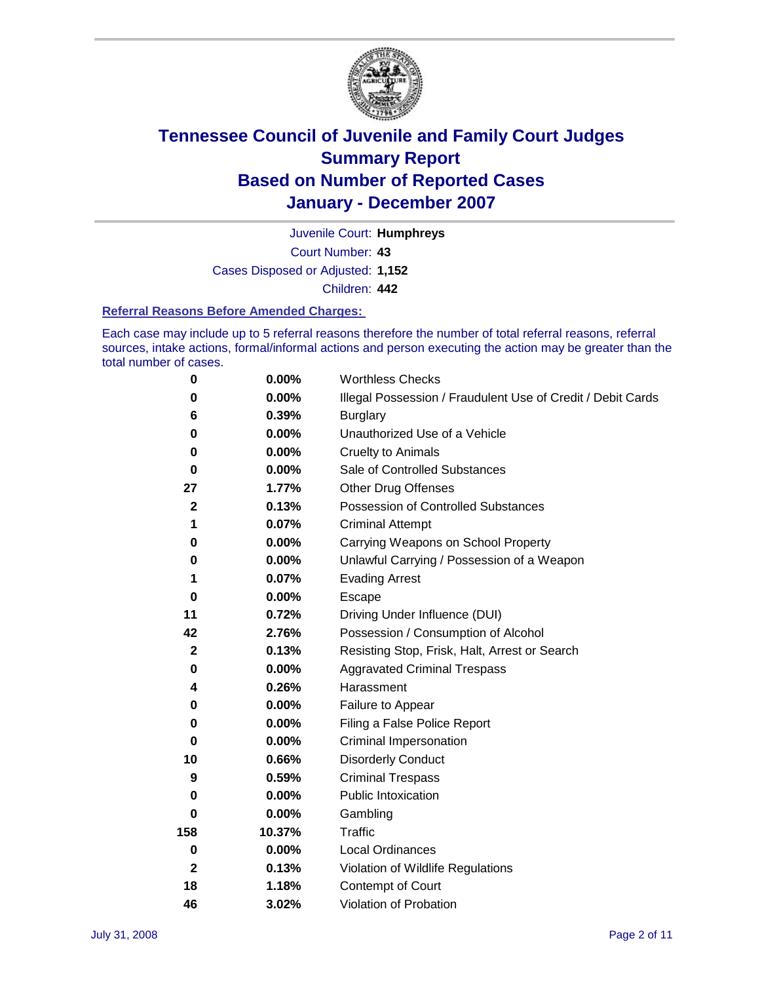

Court Number: **43** Juvenile Court: **Humphreys** Cases Disposed or Adjusted: **1,152** Children: **442**

#### **Referral Reasons Before Amended Charges:**

Each case may include up to 5 referral reasons therefore the number of total referral reasons, referral sources, intake actions, formal/informal actions and person executing the action may be greater than the total number of cases.

| 0            | 0.00%    | <b>Worthless Checks</b>                                     |
|--------------|----------|-------------------------------------------------------------|
| 0            | 0.00%    | Illegal Possession / Fraudulent Use of Credit / Debit Cards |
| 6            | 0.39%    | <b>Burglary</b>                                             |
| 0            | $0.00\%$ | Unauthorized Use of a Vehicle                               |
| $\bf{0}$     | 0.00%    | <b>Cruelty to Animals</b>                                   |
| 0            | $0.00\%$ | Sale of Controlled Substances                               |
| 27           | 1.77%    | <b>Other Drug Offenses</b>                                  |
| $\mathbf{2}$ | 0.13%    | Possession of Controlled Substances                         |
| 1            | 0.07%    | <b>Criminal Attempt</b>                                     |
| 0            | 0.00%    | Carrying Weapons on School Property                         |
| 0            | 0.00%    | Unlawful Carrying / Possession of a Weapon                  |
| 1            | 0.07%    | <b>Evading Arrest</b>                                       |
| 0            | 0.00%    | Escape                                                      |
| 11           | 0.72%    | Driving Under Influence (DUI)                               |
| 42           | 2.76%    | Possession / Consumption of Alcohol                         |
| $\mathbf{2}$ | 0.13%    | Resisting Stop, Frisk, Halt, Arrest or Search               |
| 0            | $0.00\%$ | <b>Aggravated Criminal Trespass</b>                         |
| 4            | 0.26%    | Harassment                                                  |
| 0            | 0.00%    | Failure to Appear                                           |
| 0            | 0.00%    | Filing a False Police Report                                |
| 0            | 0.00%    | Criminal Impersonation                                      |
| 10           | 0.66%    | <b>Disorderly Conduct</b>                                   |
| 9            | 0.59%    | <b>Criminal Trespass</b>                                    |
| 0            | 0.00%    | <b>Public Intoxication</b>                                  |
| 0            | 0.00%    | Gambling                                                    |
| 158          | 10.37%   | Traffic                                                     |
| $\mathbf 0$  | 0.00%    | <b>Local Ordinances</b>                                     |
| $\mathbf{2}$ | 0.13%    | Violation of Wildlife Regulations                           |
| 18           | 1.18%    | Contempt of Court                                           |
| 46           | 3.02%    | Violation of Probation                                      |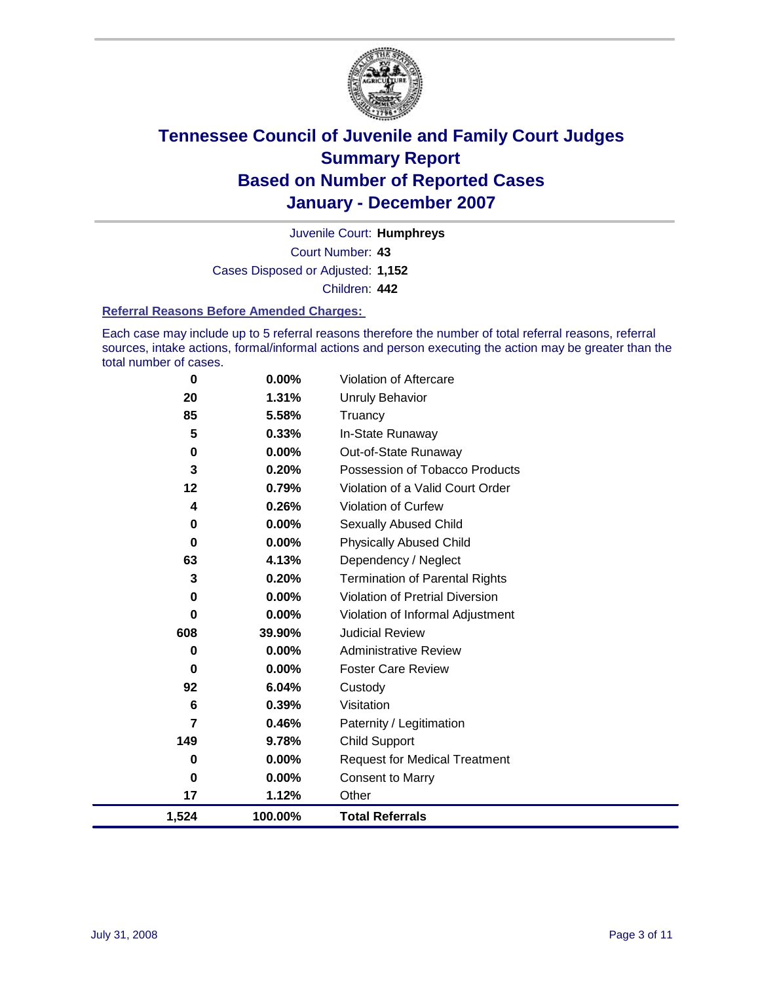

Court Number: **43** Juvenile Court: **Humphreys** Cases Disposed or Adjusted: **1,152** Children: **442**

#### **Referral Reasons Before Amended Charges:**

Each case may include up to 5 referral reasons therefore the number of total referral reasons, referral sources, intake actions, formal/informal actions and person executing the action may be greater than the total number of cases.

| 1,524    | 100.00%  | <b>Total Referrals</b>                 |
|----------|----------|----------------------------------------|
| 17       | 1.12%    | Other                                  |
| 0        | 0.00%    | <b>Consent to Marry</b>                |
| 0        | $0.00\%$ | <b>Request for Medical Treatment</b>   |
| 149      | 9.78%    | <b>Child Support</b>                   |
| 7        | 0.46%    | Paternity / Legitimation               |
| 6        | 0.39%    | Visitation                             |
| 92       | 6.04%    | Custody                                |
| 0        | 0.00%    | <b>Foster Care Review</b>              |
| 0        | 0.00%    | <b>Administrative Review</b>           |
| 608      | 39.90%   | <b>Judicial Review</b>                 |
| 0        | $0.00\%$ | Violation of Informal Adjustment       |
| 0        | $0.00\%$ | <b>Violation of Pretrial Diversion</b> |
| 3        | 0.20%    | <b>Termination of Parental Rights</b>  |
| 63       | 4.13%    | Dependency / Neglect                   |
| 0        | 0.00%    | <b>Physically Abused Child</b>         |
| 0        | $0.00\%$ | <b>Sexually Abused Child</b>           |
| 4        | 0.26%    | <b>Violation of Curfew</b>             |
| 12       | 0.79%    | Violation of a Valid Court Order       |
| 3        | 0.20%    | Possession of Tobacco Products         |
| 0        | $0.00\%$ | Out-of-State Runaway                   |
| 5        | 0.33%    | In-State Runaway                       |
| 85       | 5.58%    | Truancy                                |
| 20       | 1.31%    | Unruly Behavior                        |
| $\bf{0}$ | 0.00%    | Violation of Aftercare                 |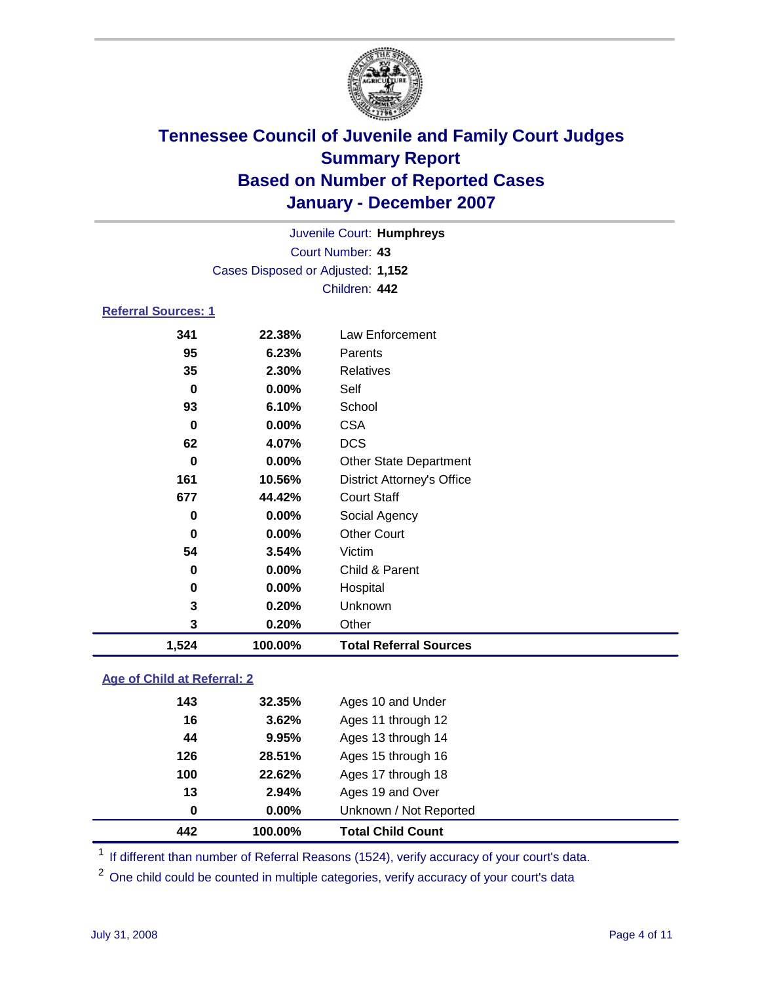

Court Number: **43** Juvenile Court: **Humphreys** Cases Disposed or Adjusted: **1,152** Children: **442**

### **Referral Sources: 1**

| 0<br>161<br>677<br>0<br>$\bf{0}$<br>54<br>0<br>0<br>3<br>3 | 10.56%<br>44.42%<br>0.00%<br>0.00%<br>3.54%<br>$0.00\%$<br>0.00%<br>0.20%<br>0.20% | <b>District Attorney's Office</b><br><b>Court Staff</b><br>Social Agency<br><b>Other Court</b><br>Victim<br>Child & Parent<br>Hospital<br>Unknown<br>Other |
|------------------------------------------------------------|------------------------------------------------------------------------------------|------------------------------------------------------------------------------------------------------------------------------------------------------------|
|                                                            |                                                                                    |                                                                                                                                                            |
|                                                            |                                                                                    |                                                                                                                                                            |
|                                                            |                                                                                    |                                                                                                                                                            |
|                                                            |                                                                                    |                                                                                                                                                            |
|                                                            |                                                                                    |                                                                                                                                                            |
|                                                            |                                                                                    |                                                                                                                                                            |
|                                                            |                                                                                    |                                                                                                                                                            |
|                                                            |                                                                                    |                                                                                                                                                            |
|                                                            |                                                                                    |                                                                                                                                                            |
|                                                            | 0.00%                                                                              | <b>Other State Department</b>                                                                                                                              |
| 62                                                         | 4.07%                                                                              | DCS.                                                                                                                                                       |
| 0                                                          | 0.00%                                                                              | <b>CSA</b>                                                                                                                                                 |
| 93                                                         | 6.10%                                                                              | School                                                                                                                                                     |
| 0                                                          | 0.00%                                                                              | Self                                                                                                                                                       |
| 35                                                         | 2.30%                                                                              | <b>Relatives</b>                                                                                                                                           |
| 95                                                         | 6.23%                                                                              | Parents                                                                                                                                                    |
| 341                                                        | 22.38%                                                                             | Law Enforcement                                                                                                                                            |
|                                                            |                                                                                    |                                                                                                                                                            |

### **Age of Child at Referral: 2**

| 442 | 100.00%  | <b>Total Child Count</b> |  |
|-----|----------|--------------------------|--|
| 0   | $0.00\%$ | Unknown / Not Reported   |  |
| 13  | 2.94%    | Ages 19 and Over         |  |
| 100 | 22.62%   | Ages 17 through 18       |  |
| 126 | 28.51%   | Ages 15 through 16       |  |
| 44  | 9.95%    | Ages 13 through 14       |  |
| 16  | 3.62%    | Ages 11 through 12       |  |
| 143 | 32.35%   | Ages 10 and Under        |  |
|     |          |                          |  |

<sup>1</sup> If different than number of Referral Reasons (1524), verify accuracy of your court's data.

<sup>2</sup> One child could be counted in multiple categories, verify accuracy of your court's data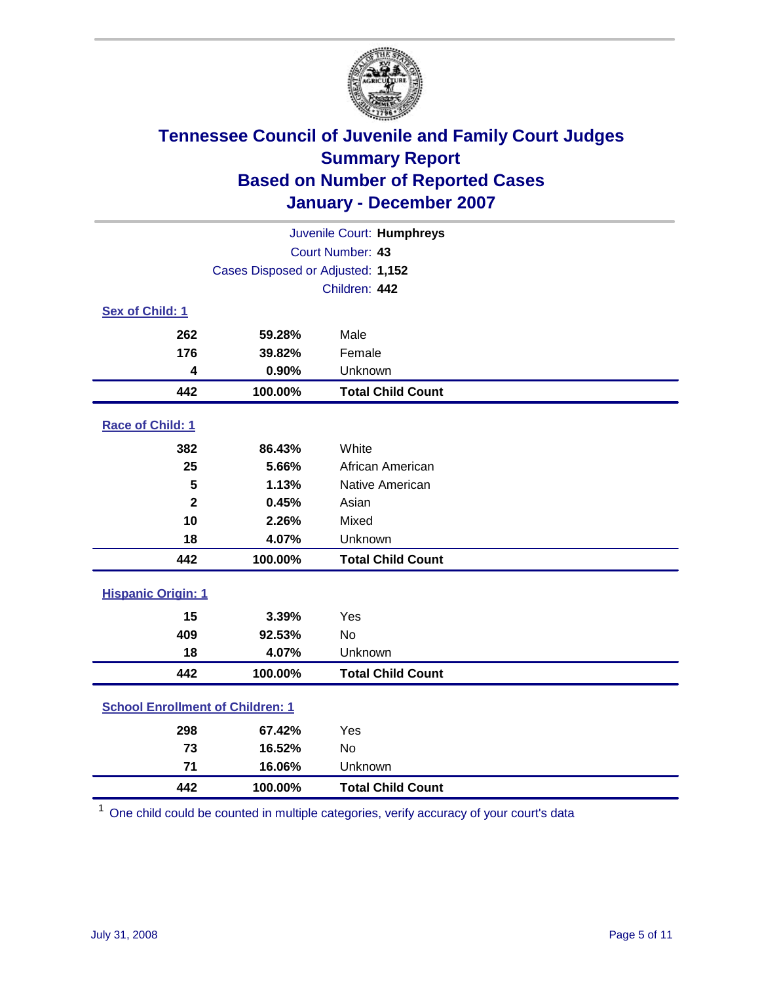

| Juvenile Court: Humphreys |                                         |                          |  |  |  |
|---------------------------|-----------------------------------------|--------------------------|--|--|--|
| Court Number: 43          |                                         |                          |  |  |  |
|                           | Cases Disposed or Adjusted: 1,152       |                          |  |  |  |
|                           |                                         | Children: 442            |  |  |  |
| Sex of Child: 1           |                                         |                          |  |  |  |
| 262                       | 59.28%                                  | Male                     |  |  |  |
| 176                       | 39.82%                                  | Female                   |  |  |  |
| 4                         | 0.90%                                   | Unknown                  |  |  |  |
| 442                       | 100.00%                                 | <b>Total Child Count</b> |  |  |  |
| Race of Child: 1          |                                         |                          |  |  |  |
| 382                       | 86.43%                                  | White                    |  |  |  |
| 25                        | 5.66%                                   | African American         |  |  |  |
| 5                         | 1.13%                                   | Native American          |  |  |  |
| $\mathbf{2}$              | 0.45%                                   | Asian                    |  |  |  |
| 10                        | 2.26%                                   | Mixed                    |  |  |  |
| 18                        | 4.07%                                   | Unknown                  |  |  |  |
| 442                       | 100.00%                                 | <b>Total Child Count</b> |  |  |  |
| <b>Hispanic Origin: 1</b> |                                         |                          |  |  |  |
| 15                        | 3.39%                                   | Yes                      |  |  |  |
| 409                       | 92.53%                                  | <b>No</b>                |  |  |  |
| 18                        | 4.07%                                   | Unknown                  |  |  |  |
| 442                       | 100.00%                                 | <b>Total Child Count</b> |  |  |  |
|                           | <b>School Enrollment of Children: 1</b> |                          |  |  |  |
| 298                       | 67.42%                                  | Yes                      |  |  |  |
| 73                        | 16.52%                                  | <b>No</b>                |  |  |  |
| 71                        | 16.06%                                  | Unknown                  |  |  |  |
| 442                       | 100.00%                                 | <b>Total Child Count</b> |  |  |  |

One child could be counted in multiple categories, verify accuracy of your court's data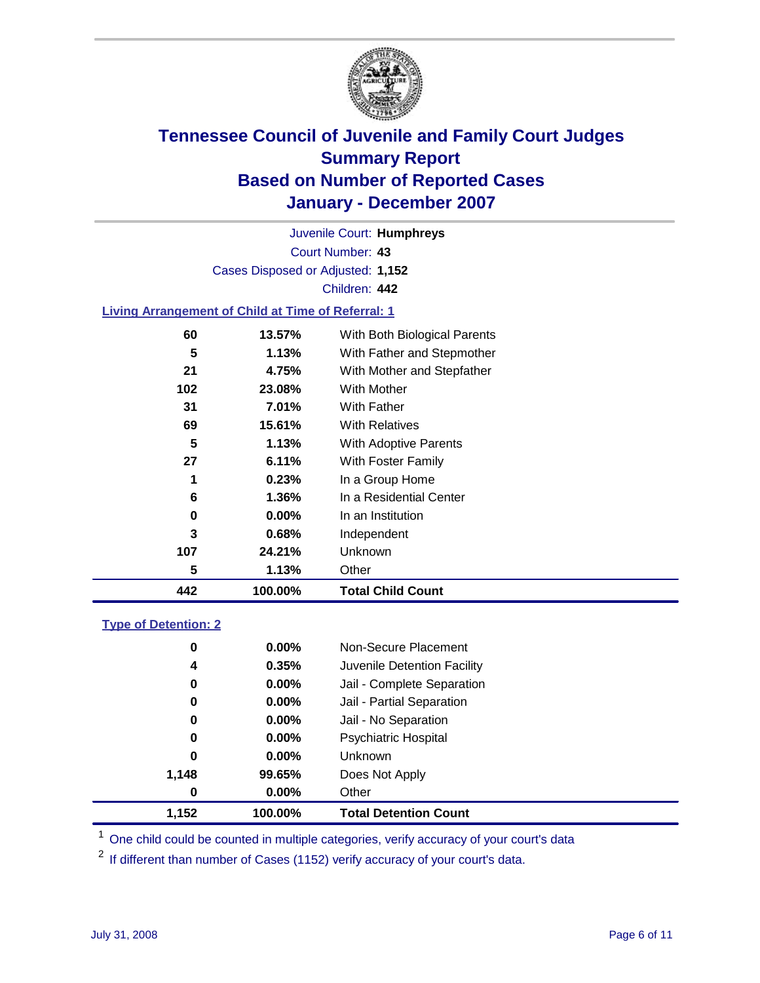

Court Number: **43** Juvenile Court: **Humphreys** Cases Disposed or Adjusted: **1,152** Children: **442**

#### **Living Arrangement of Child at Time of Referral: 1**

| 442 | 100.00%  | <b>Total Child Count</b>     |
|-----|----------|------------------------------|
| 5   | 1.13%    | Other                        |
| 107 | 24.21%   | Unknown                      |
| 3   | 0.68%    | Independent                  |
| 0   | 0.00%    | In an Institution            |
| 6   | $1.36\%$ | In a Residential Center      |
| 1   | 0.23%    | In a Group Home              |
| 27  | 6.11%    | With Foster Family           |
| 5   | 1.13%    | With Adoptive Parents        |
| 69  | 15.61%   | <b>With Relatives</b>        |
| 31  | 7.01%    | <b>With Father</b>           |
| 102 | 23.08%   | With Mother                  |
| 21  | 4.75%    | With Mother and Stepfather   |
| 5   | 1.13%    | With Father and Stepmother   |
| 60  | 13.57%   | With Both Biological Parents |
|     |          |                              |

#### **Type of Detention: 2**

| 1.152 | 100.00%  | <b>Total Detention Count</b> |
|-------|----------|------------------------------|
| 0     | $0.00\%$ | Other                        |
| 1,148 | 99.65%   | Does Not Apply               |
| 0     | $0.00\%$ | Unknown                      |
| 0     | 0.00%    | <b>Psychiatric Hospital</b>  |
| 0     | $0.00\%$ | Jail - No Separation         |
| 0     | $0.00\%$ | Jail - Partial Separation    |
| 0     | $0.00\%$ | Jail - Complete Separation   |
| 4     | 0.35%    | Juvenile Detention Facility  |
| 0     | $0.00\%$ | Non-Secure Placement         |
|       |          |                              |

<sup>1</sup> One child could be counted in multiple categories, verify accuracy of your court's data

<sup>2</sup> If different than number of Cases (1152) verify accuracy of your court's data.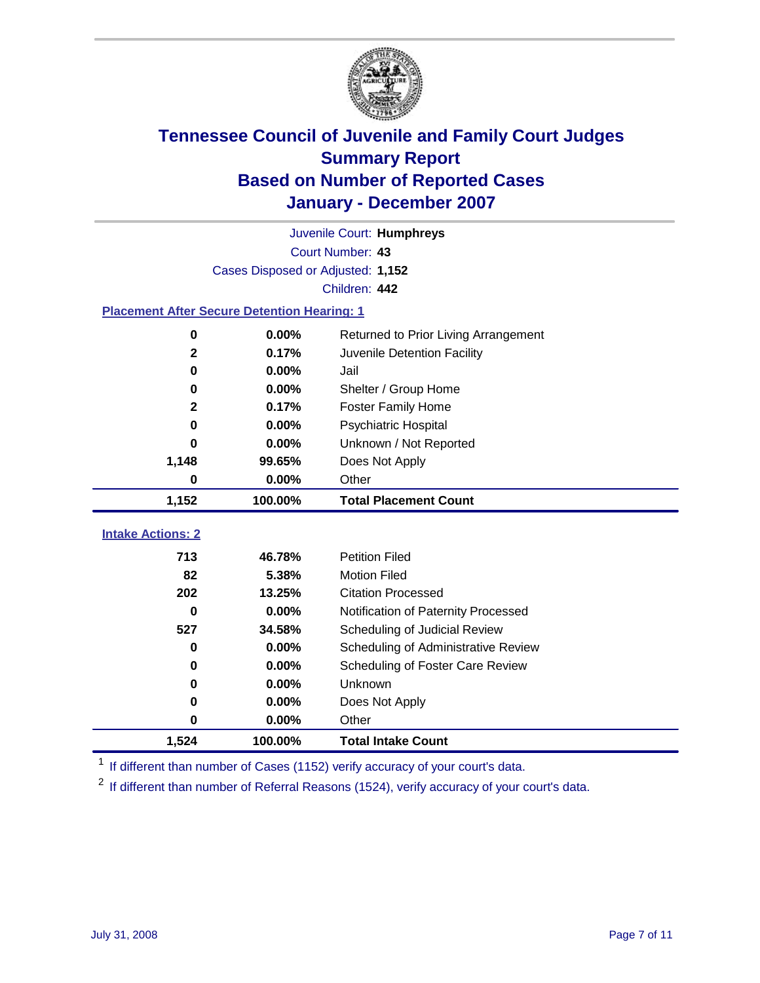

|                                                    |                                   | Juvenile Court: Humphreys            |
|----------------------------------------------------|-----------------------------------|--------------------------------------|
|                                                    |                                   | Court Number: 43                     |
|                                                    | Cases Disposed or Adjusted: 1,152 |                                      |
|                                                    |                                   | Children: 442                        |
| <b>Placement After Secure Detention Hearing: 1</b> |                                   |                                      |
| $\bf{0}$                                           | 0.00%                             | Returned to Prior Living Arrangement |
| $\mathbf 2$                                        | 0.17%                             | Juvenile Detention Facility          |
| 0                                                  | 0.00%                             | Jail                                 |
| 0                                                  | 0.00%                             | Shelter / Group Home                 |
| $\mathbf{2}$                                       | 0.17%                             | <b>Foster Family Home</b>            |
| 0                                                  | 0.00%                             | <b>Psychiatric Hospital</b>          |
| 0                                                  | 0.00%                             | Unknown / Not Reported               |
| 1,148                                              | 99.65%                            | Does Not Apply                       |
| 0                                                  | 0.00%                             | Other                                |
| 1,152                                              | 100.00%                           | <b>Total Placement Count</b>         |
|                                                    |                                   |                                      |
| <b>Intake Actions: 2</b>                           |                                   |                                      |
| 713                                                | 46.78%                            | <b>Petition Filed</b>                |
| 82                                                 | 5.38%                             | <b>Motion Filed</b>                  |
| 202                                                | 13.25%                            | <b>Citation Processed</b>            |
| 0                                                  | 0.00%                             | Notification of Paternity Processed  |
| 527                                                | 34.58%                            | Scheduling of Judicial Review        |
| 0                                                  | 0.00%                             | Scheduling of Administrative Review  |
| 0                                                  | 0.00%                             | Scheduling of Foster Care Review     |
| 0                                                  | 0.00%                             | Unknown                              |
| 0                                                  | 0.00%                             | Does Not Apply                       |
| 0                                                  | 0.00%                             | Other                                |
| 1,524                                              | 100.00%                           | <b>Total Intake Count</b>            |

<sup>1</sup> If different than number of Cases (1152) verify accuracy of your court's data.

<sup>2</sup> If different than number of Referral Reasons (1524), verify accuracy of your court's data.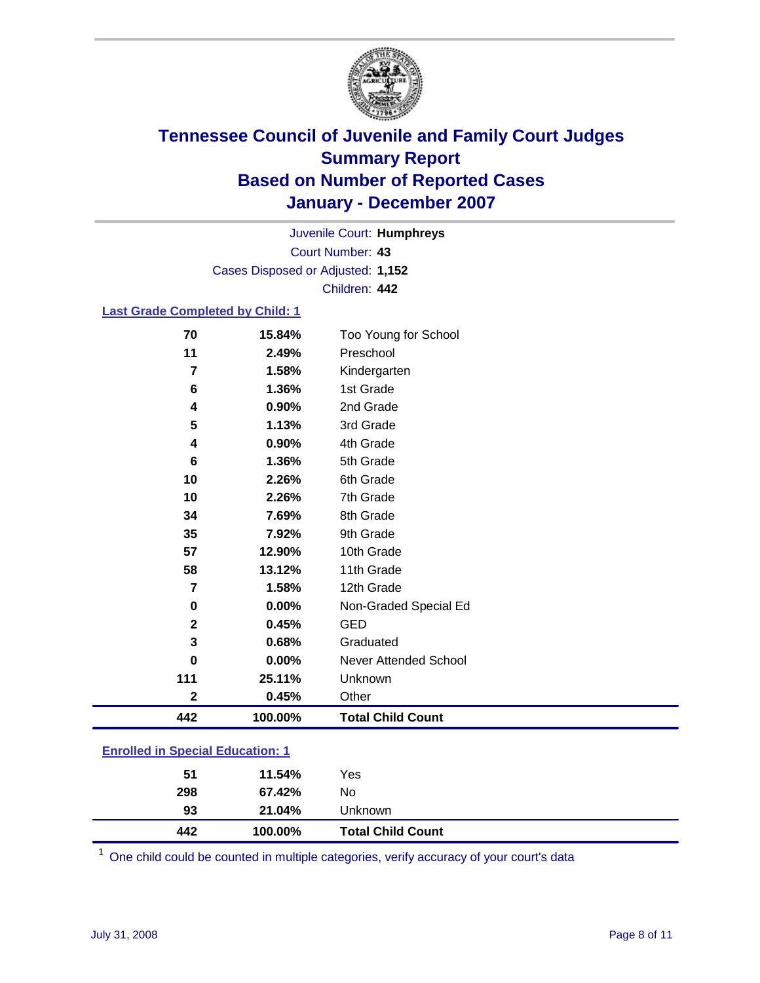

Court Number: **43** Juvenile Court: **Humphreys** Cases Disposed or Adjusted: **1,152** Children: **442**

#### **Last Grade Completed by Child: 1**

| 442            | 100.00% | <b>Total Child Count</b> |
|----------------|---------|--------------------------|
| $\mathbf 2$    | 0.45%   | Other                    |
| 111            | 25.11%  | Unknown                  |
| 0              | 0.00%   | Never Attended School    |
| 3              | 0.68%   | Graduated                |
| $\mathbf 2$    | 0.45%   | <b>GED</b>               |
| 0              | 0.00%   | Non-Graded Special Ed    |
| 7              | 1.58%   | 12th Grade               |
| 58             | 13.12%  | 11th Grade               |
| 57             | 12.90%  | 10th Grade               |
| 35             | 7.92%   | 9th Grade                |
| 34             | 7.69%   | 8th Grade                |
| 10             | 2.26%   | 7th Grade                |
| 10             | 2.26%   | 6th Grade                |
| 6              | 1.36%   | 5th Grade                |
| 4              | 0.90%   | 4th Grade                |
| 5              | 1.13%   | 3rd Grade                |
| 4              | 0.90%   | 2nd Grade                |
| 6              | 1.36%   | 1st Grade                |
| $\overline{7}$ | 1.58%   | Kindergarten             |
| 11             | 2.49%   | Preschool                |
| 70             | 15.84%  | Too Young for School     |

### **Enrolled in Special Education: 1**

| 442 | 100.00% | <b>Total Child Count</b> |  |
|-----|---------|--------------------------|--|
| 93  | 21.04%  | Unknown                  |  |
| 298 | 67.42%  | No                       |  |
| 51  | 11.54%  | Yes                      |  |
|     |         |                          |  |

<sup>1</sup> One child could be counted in multiple categories, verify accuracy of your court's data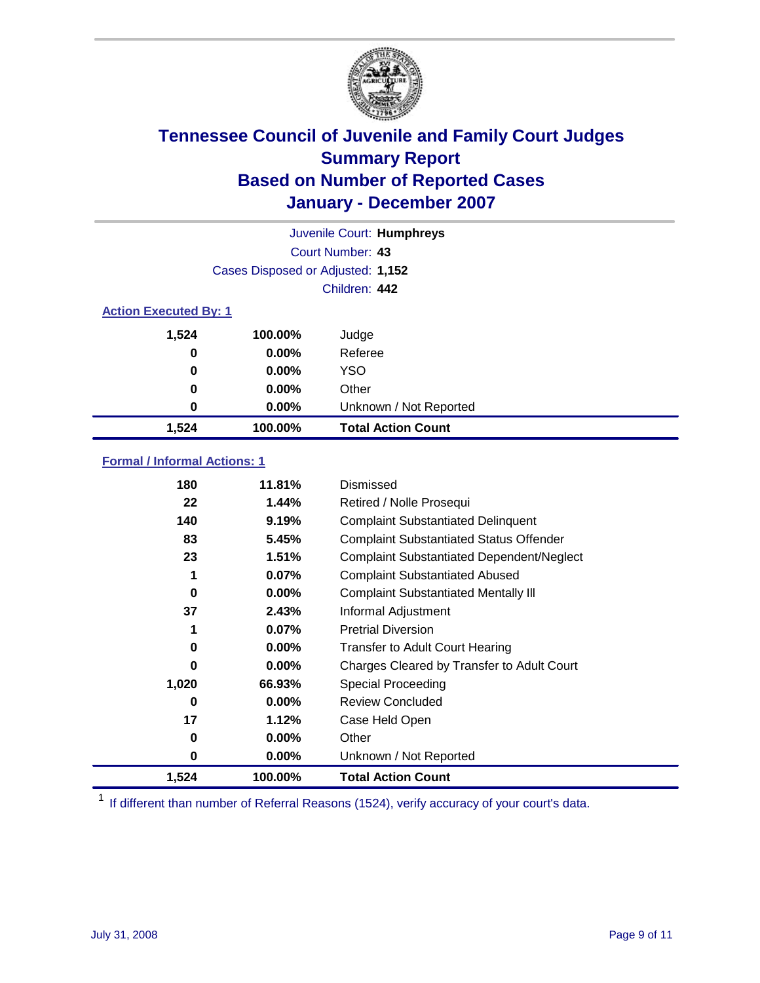

| Juvenile Court: Humphreys    |                                   |                           |  |  |
|------------------------------|-----------------------------------|---------------------------|--|--|
|                              | Court Number: 43                  |                           |  |  |
|                              | Cases Disposed or Adjusted: 1,152 |                           |  |  |
|                              |                                   | Children: 442             |  |  |
| <b>Action Executed By: 1</b> |                                   |                           |  |  |
| 1,524                        | 100.00%                           | Judge                     |  |  |
| 0                            | $0.00\%$                          | Referee                   |  |  |
| 0                            | $0.00\%$                          | <b>YSO</b>                |  |  |
| 0                            | $0.00\%$                          | Other                     |  |  |
| 0                            | 0.00%                             | Unknown / Not Reported    |  |  |
| 1,524                        | 100.00%                           | <b>Total Action Count</b> |  |  |

### **Formal / Informal Actions: 1**

| 180   | 11.81%   | Dismissed                                        |
|-------|----------|--------------------------------------------------|
| 22    | 1.44%    | Retired / Nolle Prosequi                         |
| 140   | 9.19%    | <b>Complaint Substantiated Delinquent</b>        |
| 83    | 5.45%    | <b>Complaint Substantiated Status Offender</b>   |
| 23    | 1.51%    | <b>Complaint Substantiated Dependent/Neglect</b> |
| 1     | $0.07\%$ | <b>Complaint Substantiated Abused</b>            |
| 0     | $0.00\%$ | <b>Complaint Substantiated Mentally III</b>      |
| 37    | 2.43%    | Informal Adjustment                              |
| 1     | 0.07%    | <b>Pretrial Diversion</b>                        |
| 0     | $0.00\%$ | <b>Transfer to Adult Court Hearing</b>           |
| 0     | $0.00\%$ | Charges Cleared by Transfer to Adult Court       |
| 1,020 | 66.93%   | Special Proceeding                               |
| 0     | $0.00\%$ | <b>Review Concluded</b>                          |
| 17    | 1.12%    | Case Held Open                                   |
| 0     | $0.00\%$ | Other                                            |
| 0     | $0.00\%$ | Unknown / Not Reported                           |
| 1,524 | 100.00%  | <b>Total Action Count</b>                        |

<sup>1</sup> If different than number of Referral Reasons (1524), verify accuracy of your court's data.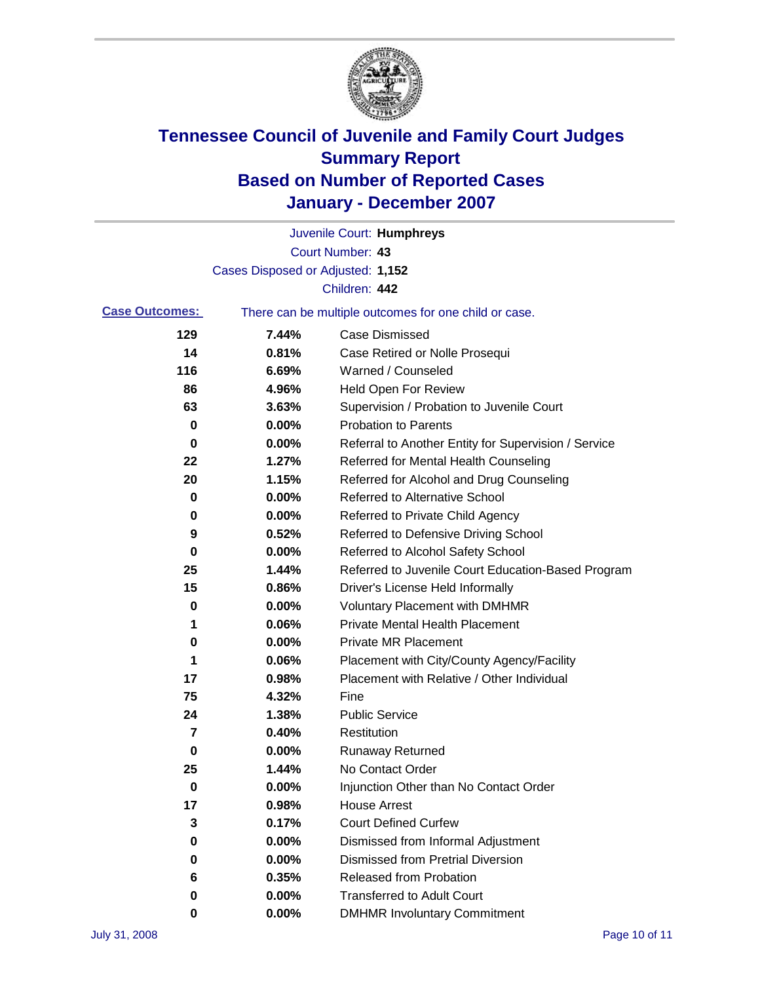

|                       |                                   | Juvenile Court: Humphreys                             |
|-----------------------|-----------------------------------|-------------------------------------------------------|
|                       |                                   | Court Number: 43                                      |
|                       | Cases Disposed or Adjusted: 1,152 |                                                       |
|                       |                                   | Children: 442                                         |
| <b>Case Outcomes:</b> |                                   | There can be multiple outcomes for one child or case. |
| 129                   | 7.44%                             | <b>Case Dismissed</b>                                 |
| 14                    | 0.81%                             | Case Retired or Nolle Prosequi                        |
| 116                   | 6.69%                             | Warned / Counseled                                    |
| 86                    | 4.96%                             | <b>Held Open For Review</b>                           |
| 63                    | 3.63%                             | Supervision / Probation to Juvenile Court             |
| 0                     | 0.00%                             | <b>Probation to Parents</b>                           |
| 0                     | 0.00%                             | Referral to Another Entity for Supervision / Service  |
| 22                    | 1.27%                             | Referred for Mental Health Counseling                 |
| 20                    | 1.15%                             | Referred for Alcohol and Drug Counseling              |
| 0                     | 0.00%                             | <b>Referred to Alternative School</b>                 |
| 0                     | 0.00%                             | Referred to Private Child Agency                      |
| 9                     | 0.52%                             | Referred to Defensive Driving School                  |
| 0                     | 0.00%                             | Referred to Alcohol Safety School                     |
| 25                    | 1.44%                             | Referred to Juvenile Court Education-Based Program    |
| 15                    | 0.86%                             | Driver's License Held Informally                      |
| 0                     | 0.00%                             | <b>Voluntary Placement with DMHMR</b>                 |
| 1                     | 0.06%                             | <b>Private Mental Health Placement</b>                |
| 0                     | 0.00%                             | <b>Private MR Placement</b>                           |
| 1                     | 0.06%                             | Placement with City/County Agency/Facility            |
| 17                    | 0.98%                             | Placement with Relative / Other Individual            |
| 75                    | 4.32%                             | Fine                                                  |
| 24                    | 1.38%                             | <b>Public Service</b>                                 |
| 7                     | 0.40%                             | Restitution                                           |
| 0                     | 0.00%                             | <b>Runaway Returned</b>                               |
| 25                    | 1.44%                             | No Contact Order                                      |
| 0                     | $0.00\%$                          | Injunction Other than No Contact Order                |
| 17                    | 0.98%                             | <b>House Arrest</b>                                   |
| 3                     | 0.17%                             | <b>Court Defined Curfew</b>                           |
| 0                     | 0.00%                             | Dismissed from Informal Adjustment                    |
| 0                     | 0.00%                             | <b>Dismissed from Pretrial Diversion</b>              |
| 6                     | 0.35%                             | Released from Probation                               |
| 0                     | 0.00%                             | <b>Transferred to Adult Court</b>                     |
| 0                     | $0.00\%$                          | <b>DMHMR Involuntary Commitment</b>                   |